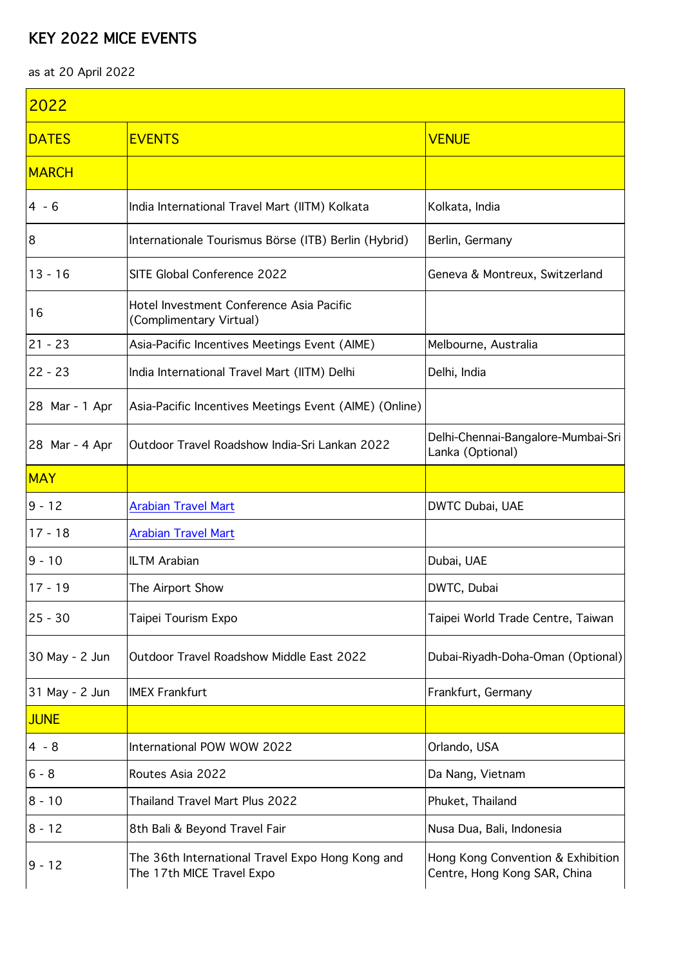## KEY 2022 MICE EVENTS

as at 20 April 2022

| 2022           |                                                                               |                                                                   |  |
|----------------|-------------------------------------------------------------------------------|-------------------------------------------------------------------|--|
| <b>DATES</b>   | <b>EVENTS</b>                                                                 | <b>VENUE</b>                                                      |  |
| <b>MARCH</b>   |                                                                               |                                                                   |  |
| $4 - 6$        | India International Travel Mart (IITM) Kolkata                                | Kolkata, India                                                    |  |
| 8              | Internationale Tourismus Börse (ITB) Berlin (Hybrid)                          | Berlin, Germany                                                   |  |
| $13 - 16$      | SITE Global Conference 2022                                                   | Geneva & Montreux, Switzerland                                    |  |
| 16             | Hotel Investment Conference Asia Pacific<br>(Complimentary Virtual)           |                                                                   |  |
| $21 - 23$      | Asia-Pacific Incentives Meetings Event (AIME)                                 | Melbourne, Australia                                              |  |
| $22 - 23$      | India International Travel Mart (IITM) Delhi                                  | Delhi, India                                                      |  |
| 28 Mar - 1 Apr | Asia-Pacific Incentives Meetings Event (AIME) (Online)                        |                                                                   |  |
| 28 Mar - 4 Apr | Outdoor Travel Roadshow India-Sri Lankan 2022                                 | Delhi-Chennai-Bangalore-Mumbai-Sri<br>Lanka (Optional)            |  |
| <b>MAY</b>     |                                                                               |                                                                   |  |
| $9 - 12$       | <b>Arabian Travel Mart</b>                                                    | DWTC Dubai, UAE                                                   |  |
| $17 - 18$      | <b>Arabian Travel Mart</b>                                                    |                                                                   |  |
| $9 - 10$       | <b>ILTM Arabian</b>                                                           | Dubai, UAE                                                        |  |
| $17 - 19$      | The Airport Show                                                              | DWTC, Dubai                                                       |  |
| $25 - 30$      | Taipei Tourism Expo                                                           | Taipei World Trade Centre, Taiwan                                 |  |
| 30 May - 2 Jun | Outdoor Travel Roadshow Middle East 2022                                      | Dubai-Riyadh-Doha-Oman (Optional)                                 |  |
| 31 May - 2 Jun | <b>IMEX Frankfurt</b>                                                         | Frankfurt, Germany                                                |  |
| <b>JUNE</b>    |                                                                               |                                                                   |  |
| $4 - 8$        | International POW WOW 2022                                                    | Orlando, USA                                                      |  |
| $6 - 8$        | Routes Asia 2022                                                              | Da Nang, Vietnam                                                  |  |
| $8 - 10$       | Thailand Travel Mart Plus 2022                                                | Phuket, Thailand                                                  |  |
| $8 - 12$       | 8th Bali & Beyond Travel Fair                                                 | Nusa Dua, Bali, Indonesia                                         |  |
| 9 - 12         | The 36th International Travel Expo Hong Kong and<br>The 17th MICE Travel Expo | Hong Kong Convention & Exhibition<br>Centre, Hong Kong SAR, China |  |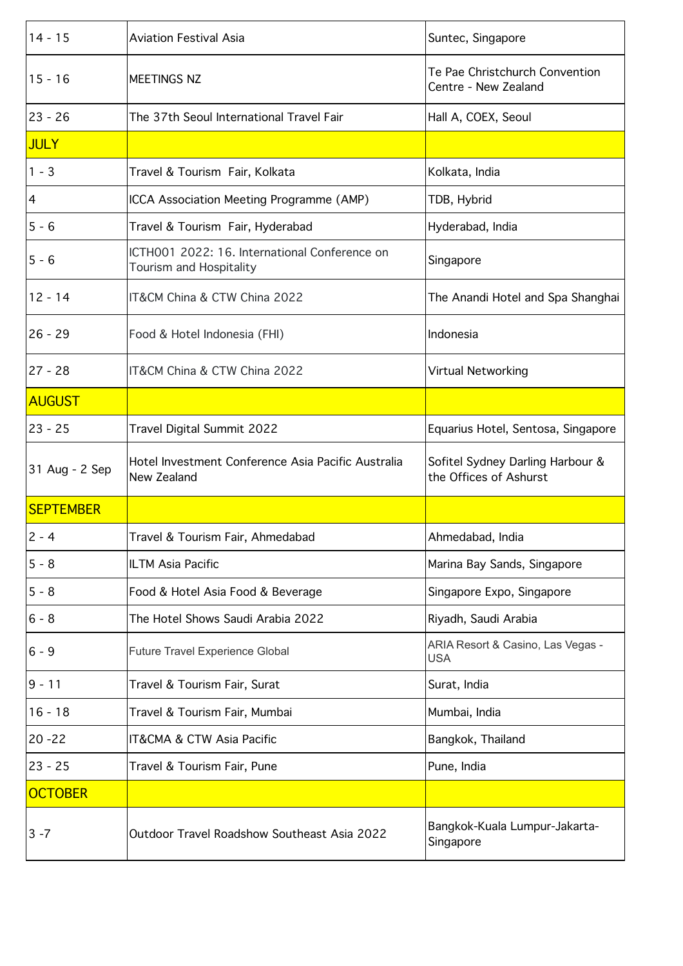| $14 - 15$        | <b>Aviation Festival Asia</b>                                            | Suntec, Singapore                                          |
|------------------|--------------------------------------------------------------------------|------------------------------------------------------------|
| $15 - 16$        | MEETINGS NZ                                                              | Te Pae Christchurch Convention<br>Centre - New Zealand     |
| 23 - 26          | The 37th Seoul International Travel Fair                                 | Hall A, COEX, Seoul                                        |
| JULY             |                                                                          |                                                            |
| $ 1 - 3 $        | Travel & Tourism Fair, Kolkata                                           | Kolkata, India                                             |
| 4                | ICCA Association Meeting Programme (AMP)                                 | TDB, Hybrid                                                |
| 5 - 6            | Travel & Tourism Fair, Hyderabad                                         | Hyderabad, India                                           |
| 5 - 6            | ICTH001 2022: 16. International Conference on<br>Tourism and Hospitality | Singapore                                                  |
| 12 - 14          | IT&CM China & CTW China 2022                                             | The Anandi Hotel and Spa Shanghai                          |
| 26 - 29          | Food & Hotel Indonesia (FHI)                                             | Indonesia                                                  |
| 27 - 28          | IT&CM China & CTW China 2022                                             | Virtual Networking                                         |
| <b>AUGUST</b>    |                                                                          |                                                            |
| 23 - 25          | Travel Digital Summit 2022                                               | Equarius Hotel, Sentosa, Singapore                         |
| 31 Aug - 2 Sep   | Hotel Investment Conference Asia Pacific Australia<br>New Zealand        | Sofitel Sydney Darling Harbour &<br>the Offices of Ashurst |
| <b>SEPTEMBER</b> |                                                                          |                                                            |
| $ 2 - 4 $        | Travel & Tourism Fair, Ahmedabad                                         | Ahmedabad, India                                           |
| 5 - 8            | <b>ILTM Asia Pacific</b>                                                 | Marina Bay Sands, Singapore                                |
| 5 - 8            | Food & Hotel Asia Food & Beverage                                        | Singapore Expo, Singapore                                  |
| 6 - 8            | The Hotel Shows Saudi Arabia 2022                                        | Riyadh, Saudi Arabia                                       |
| 6 - 9            | <b>Future Travel Experience Global</b>                                   | ARIA Resort & Casino, Las Vegas -<br><b>USA</b>            |
| 9 - 11           | Travel & Tourism Fair, Surat                                             | Surat, India                                               |
| $16 - 18$        | Travel & Tourism Fair, Mumbai                                            | Mumbai, India                                              |
| 20 - 22          | IT&CMA & CTW Asia Pacific                                                | Bangkok, Thailand                                          |
| 23 - 25          | Travel & Tourism Fair, Pune                                              | Pune, India                                                |
| <b>OCTOBER</b>   |                                                                          |                                                            |
| 3 -7             | Outdoor Travel Roadshow Southeast Asia 2022                              | Bangkok-Kuala Lumpur-Jakarta-<br>Singapore                 |